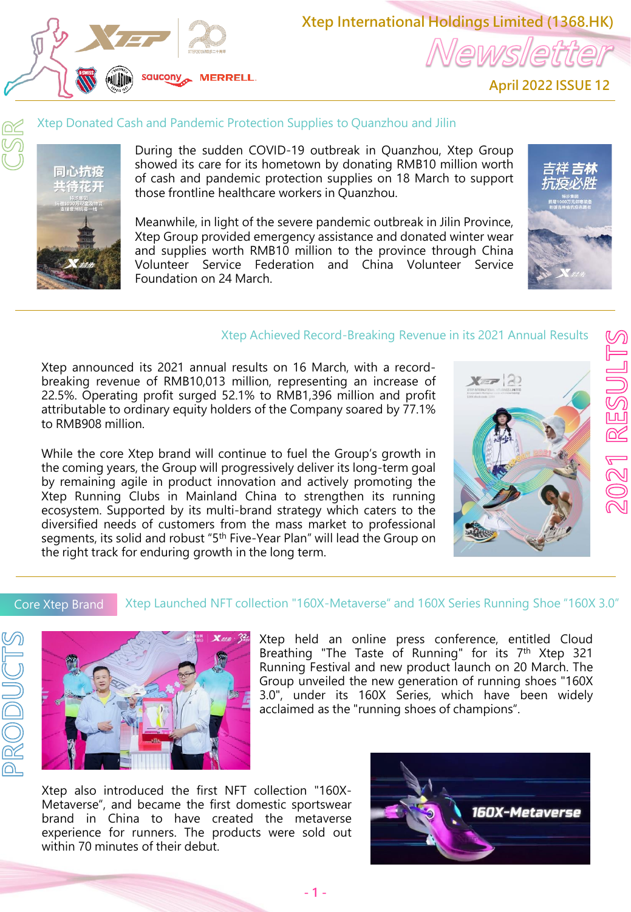

**Xtep International Holdings Limited (1368.HK)** lewslett

**April 2022 ISSUE 12**

#### Xtep Donated Cash and Pandemic Protection Supplies to Quanzhou and Jilin



During the sudden COVID-19 outbreak in Quanzhou, Xtep Group showed its care for its hometown by donating RMB10 million worth of cash and pandemic protection supplies on 18 March to support those frontline healthcare workers in Quanzhou.

Meanwhile, in light of the severe pandemic outbreak in Jilin Province, Xtep Group provided emergency assistance and donated winter wear and supplies worth RMB10 million to the province through China Volunteer Service Federation and China Volunteer Service Foundation on 24 March.



### Xtep Achieved Record-Breaking Revenue in its 2021 Annual Results

Xtep announced its 2021 annual results on 16 March, with a recordbreaking revenue of RMB10,013 million, representing an increase of 22.5%. Operating profit surged 52.1% to RMB1,396 million and profit attributable to ordinary equity holders of the Company soared by 77.1% to RMB908 million.

While the core Xtep brand will continue to fuel the Group's growth in the coming years, the Group will progressively deliver its long-term goal by remaining agile in product innovation and actively promoting the Xtep Running Clubs in Mainland China to strengthen its running ecosystem. Supported by its multi-brand strategy which caters to the diversified needs of customers from the mass market to professional segments, its solid and robust "5<sup>th</sup> Five-Year Plan" will lead the Group on the right track for enduring growth in the long term.



# Core Xtep Brand

#### Xtep Launched NFT collection "160X-Metaverse" and 160X Series Running Shoe "160X 3.0"





Xtep held an online press conference, entitled Cloud Breathing "The Taste of Running" for its 7<sup>th</sup> Xtep 321 Running Festival and new product launch on 20 March. The Group unveiled the new generation of running shoes "160X 3.0", under its 160X Series, which have been widely acclaimed as the "running shoes of champions".

Xtep also introduced the first NFT collection "160X-Metaverse", and became the first domestic sportswear brand in China to have created the metaverse experience for runners. The products were sold out within 70 minutes of their debut.